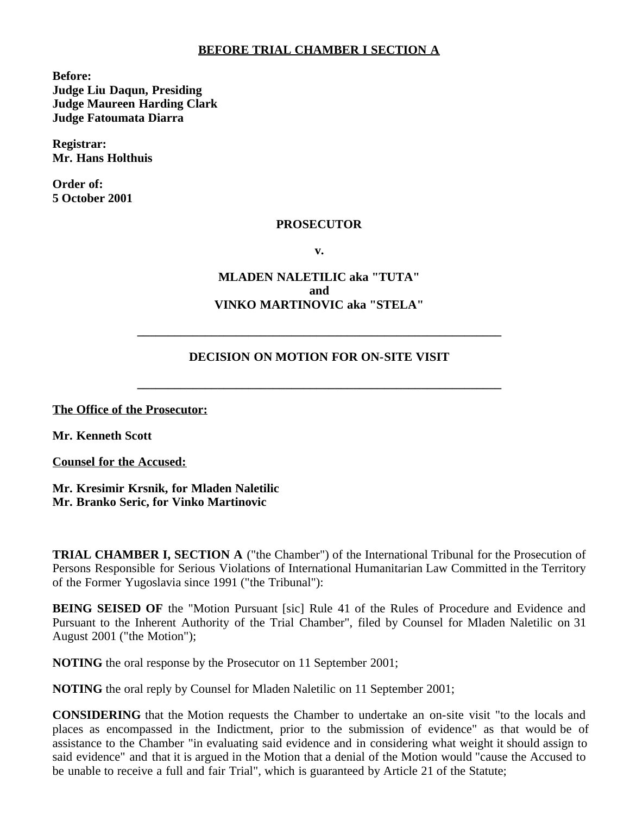### **BEFORE TRIAL CHAMBER I SECTION A**

**Before: Judge Liu Daqun, Presiding Judge Maureen Harding Clark Judge Fatoumata Diarra**

**Registrar: Mr. Hans Holthuis**

**Order of: 5 October 2001**

#### **PROSECUTOR**

**v.**

## **MLADEN NALETILIC aka "TUTA" and VINKO MARTINOVIC aka "STELA"**

### **DECISION ON MOTION FOR ON-SITE VISIT**

**\_\_\_\_\_\_\_\_\_\_\_\_\_\_\_\_\_\_\_\_\_\_\_\_\_\_\_\_\_\_\_\_\_\_\_\_\_\_\_\_\_\_\_\_\_\_\_\_\_\_\_\_\_\_\_\_\_\_\_**

**\_\_\_\_\_\_\_\_\_\_\_\_\_\_\_\_\_\_\_\_\_\_\_\_\_\_\_\_\_\_\_\_\_\_\_\_\_\_\_\_\_\_\_\_\_\_\_\_\_\_\_\_\_\_\_\_\_\_\_**

**The Office of the Prosecutor:**

**Mr. Kenneth Scott**

**Counsel for the Accused:**

**Mr. Kresimir Krsnik, for Mladen Naletilic Mr. Branko Seric, for Vinko Martinovic**

**TRIAL CHAMBER I, SECTION A** ("the Chamber") of the International Tribunal for the Prosecution of Persons Responsible for Serious Violations of International Humanitarian Law Committed in the Territory of the Former Yugoslavia since 1991 ("the Tribunal"):

**BEING SEISED OF** the "Motion Pursuant [sic] Rule 41 of the Rules of Procedure and Evidence and Pursuant to the Inherent Authority of the Trial Chamber", filed by Counsel for Mladen Naletilic on 31 August 2001 ("the Motion");

**NOTING** the oral response by the Prosecutor on 11 September 2001;

**NOTING** the oral reply by Counsel for Mladen Naletilic on 11 September 2001;

**CONSIDERING** that the Motion requests the Chamber to undertake an on-site visit "to the locals and places as encompassed in the Indictment, prior to the submission of evidence" as that would be of assistance to the Chamber "in evaluating said evidence and in considering what weight it should assign to said evidence" and that it is argued in the Motion that a denial of the Motion would "cause the Accused to be unable to receive a full and fair Trial", which is guaranteed by Article 21 of the Statute;